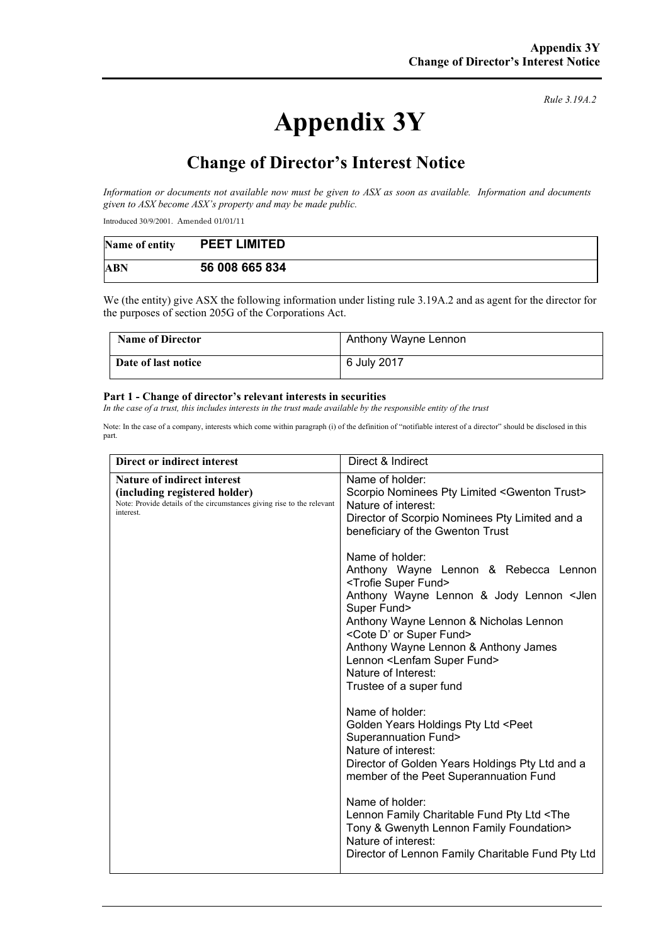# **Appendix 3Y**

*Rule 3.19A.2*

# **Change of Director's Interest Notice**

*Information or documents not available now must be given to ASX as soon as available. Information and documents given to ASX become ASX's property and may be made public.*

Introduced 30/9/2001. Amended 01/01/11

| Name of entity | <b>PEET LIMITED</b> |
|----------------|---------------------|
| ABN            | 56 008 665 834      |

We (the entity) give ASX the following information under listing rule 3.19A.2 and as agent for the director for the purposes of section 205G of the Corporations Act.

| <b>Name of Director</b> | Anthony Wayne Lennon |
|-------------------------|----------------------|
| Date of last notice     | 6 July 2017          |

#### **Part 1 - Change of director's relevant interests in securities**

*In the case of a trust, this includes interests in the trust made available by the responsible entity of the trust*

Note: In the case of a company, interests which come within paragraph (i) of the definition of "notifiable interest of a director" should be disclosed in this part.

| Direct or indirect interest                                                                                                                         | Direct & Indirect                                                                                                                                                                                                                                                                                                                                                                                                                                                                                                                                                                                                                                                                                                                                                                                                                                                                  |
|-----------------------------------------------------------------------------------------------------------------------------------------------------|------------------------------------------------------------------------------------------------------------------------------------------------------------------------------------------------------------------------------------------------------------------------------------------------------------------------------------------------------------------------------------------------------------------------------------------------------------------------------------------------------------------------------------------------------------------------------------------------------------------------------------------------------------------------------------------------------------------------------------------------------------------------------------------------------------------------------------------------------------------------------------|
| Nature of indirect interest<br>(including registered holder)<br>Note: Provide details of the circumstances giving rise to the relevant<br>interest. | Name of holder:<br>Scorpio Nominees Pty Limited <gwenton trust=""><br/>Nature of interest:<br/>Director of Scorpio Nominees Pty Limited and a<br/>beneficiary of the Gwenton Trust<br/>Name of holder:<br/>Anthony Wayne Lennon &amp; Rebecca Lennon<br/><trofie fund="" super=""><br/>Anthony Wayne Lennon &amp; Jody Lennon <jlen<br>Super Fund&gt;<br/>Anthony Wayne Lennon &amp; Nicholas Lennon<br/><cote d'="" fund="" or="" super=""><br/>Anthony Wayne Lennon &amp; Anthony James<br/>Lennon <lenfam fund="" super=""><br/>Nature of Interest:<br/>Trustee of a super fund<br/>Name of holder:<br/>Golden Years Holdings Pty Ltd <peet<br><b>Superannuation Fund&gt;</b><br/>Nature of interest:<br/>Director of Golden Years Holdings Pty Ltd and a<br/>member of the Peet Superannuation Fund<br/>Name of holder:</peet<br></lenfam></cote></jlen<br></trofie></gwenton> |
|                                                                                                                                                     | Lennon Family Charitable Fund Pty Ltd <the<br>Tony &amp; Gwenyth Lennon Family Foundation&gt;<br/>Nature of interest:<br/>Director of Lennon Family Charitable Fund Pty Ltd</the<br>                                                                                                                                                                                                                                                                                                                                                                                                                                                                                                                                                                                                                                                                                               |
|                                                                                                                                                     |                                                                                                                                                                                                                                                                                                                                                                                                                                                                                                                                                                                                                                                                                                                                                                                                                                                                                    |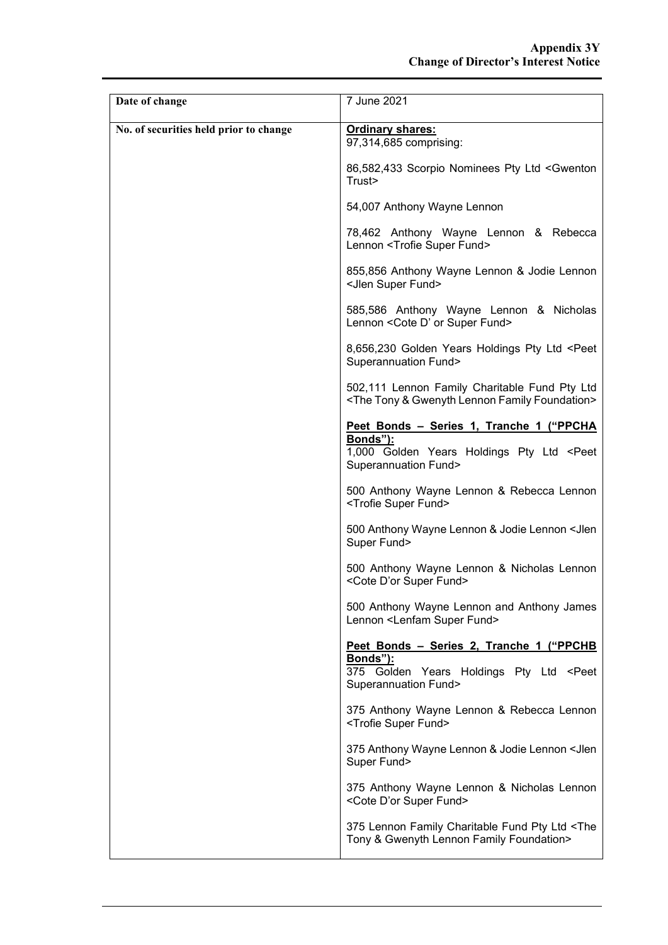| Date of change                         | 7 June 2021                                                                                                                                          |
|----------------------------------------|------------------------------------------------------------------------------------------------------------------------------------------------------|
| No. of securities held prior to change | <b>Ordinary shares:</b><br>97,314,685 comprising:                                                                                                    |
|                                        | 86,582,433 Scorpio Nominees Pty Ltd <gwenton<br>Trust&gt;</gwenton<br>                                                                               |
|                                        | 54,007 Anthony Wayne Lennon                                                                                                                          |
|                                        | 78,462 Anthony Wayne Lennon & Rebecca<br>Lennon <trofie fund="" super=""></trofie>                                                                   |
|                                        | 855,856 Anthony Wayne Lennon & Jodie Lennon<br><jlen fund="" super=""></jlen>                                                                        |
|                                        | 585,586 Anthony Wayne Lennon & Nicholas<br>Lennon < Cote D' or Super Fund>                                                                           |
|                                        | 8,656,230 Golden Years Holdings Pty Ltd <peet<br><b>Superannuation Fund&gt;</b></peet<br>                                                            |
|                                        | 502,111 Lennon Family Charitable Fund Pty Ltd<br><the &="" family="" foundation="" gwenyth="" lennon="" tony=""></the>                               |
|                                        | Peet Bonds - Series 1, Tranche 1 ("PPCHA<br><b>Bonds"):</b><br>1,000 Golden Years Holdings Pty Ltd <peet<br><b>Superannuation Fund&gt;</b></peet<br> |
|                                        | 500 Anthony Wayne Lennon & Rebecca Lennon<br><trofie fund="" super=""></trofie>                                                                      |
|                                        | 500 Anthony Wayne Lennon & Jodie Lennon < Jlen<br>Super Fund>                                                                                        |
|                                        | 500 Anthony Wayne Lennon & Nicholas Lennon<br><cote d'or="" fund="" super=""></cote>                                                                 |
|                                        | 500 Anthony Wayne Lennon and Anthony James<br>Lennon <lenfam fund="" super=""></lenfam>                                                              |
|                                        | Peet Bonds - Series 2, Tranche 1 ("PPCHB<br>Bonds"):<br>375 Golden Years Holdings Pty Ltd <peet<br><b>Superannuation Fund&gt;</b></peet<br>          |
|                                        | 375 Anthony Wayne Lennon & Rebecca Lennon<br><trofie fund="" super=""></trofie>                                                                      |
|                                        | 375 Anthony Wayne Lennon & Jodie Lennon < Jlen<br>Super Fund>                                                                                        |
|                                        | 375 Anthony Wayne Lennon & Nicholas Lennon<br><cote d'or="" fund="" super=""></cote>                                                                 |
|                                        | 375 Lennon Family Charitable Fund Pty Ltd <the<br>Tony &amp; Gwenyth Lennon Family Foundation&gt;</the<br>                                           |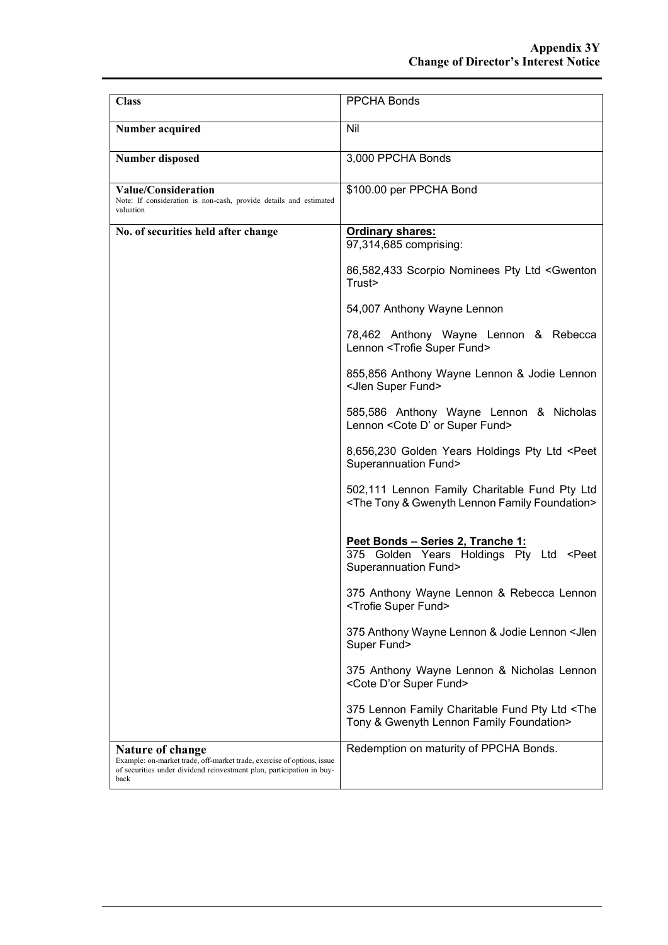| <b>Class</b>                                                                                                                                                                | <b>PPCHA Bonds</b>                                                                                                       |
|-----------------------------------------------------------------------------------------------------------------------------------------------------------------------------|--------------------------------------------------------------------------------------------------------------------------|
| Number acquired                                                                                                                                                             | Nil                                                                                                                      |
| <b>Number disposed</b>                                                                                                                                                      | 3,000 PPCHA Bonds                                                                                                        |
| <b>Value/Consideration</b><br>Note: If consideration is non-cash, provide details and estimated<br>valuation                                                                | \$100.00 per PPCHA Bond                                                                                                  |
| No. of securities held after change                                                                                                                                         | <b>Ordinary shares:</b><br>97,314,685 comprising:                                                                        |
|                                                                                                                                                                             | 86,582,433 Scorpio Nominees Pty Ltd <gwenton<br>Trust&gt;</gwenton<br>                                                   |
|                                                                                                                                                                             | 54,007 Anthony Wayne Lennon                                                                                              |
|                                                                                                                                                                             | 78,462 Anthony Wayne Lennon & Rebecca<br>Lennon <trofie fund="" super=""></trofie>                                       |
|                                                                                                                                                                             | 855,856 Anthony Wayne Lennon & Jodie Lennon<br><jlen fund="" super=""></jlen>                                            |
|                                                                                                                                                                             | 585,586 Anthony Wayne Lennon & Nicholas<br>Lennon < Cote D' or Super Fund>                                               |
|                                                                                                                                                                             | 8,656,230 Golden Years Holdings Pty Ltd <peet<br><b>Superannuation Fund&gt;</b></peet<br>                                |
|                                                                                                                                                                             | 502,111 Lennon Family Charitable Fund Pty Ltd<br><the &="" family="" foundation="" gwenyth="" lennon="" tony=""></the>   |
|                                                                                                                                                                             | Peet Bonds - Series 2, Tranche 1:<br>375 Golden Years Holdings Pty Ltd <peet<br><b>Superannuation Fund&gt;</b></peet<br> |
|                                                                                                                                                                             | 375 Anthony Wayne Lennon & Rebecca Lennon<br><trofie fund="" super=""></trofie>                                          |
|                                                                                                                                                                             | 375 Anthony Wayne Lennon & Jodie Lennon < Jlen<br>Super Fund>                                                            |
|                                                                                                                                                                             | 375 Anthony Wayne Lennon & Nicholas Lennon<br><cote d'or="" fund="" super=""></cote>                                     |
|                                                                                                                                                                             | 375 Lennon Family Charitable Fund Pty Ltd <the<br>Tony &amp; Gwenyth Lennon Family Foundation&gt;</the<br>               |
| Nature of change<br>Example: on-market trade, off-market trade, exercise of options, issue<br>of securities under dividend reinvestment plan, participation in buy-<br>back | Redemption on maturity of PPCHA Bonds.                                                                                   |